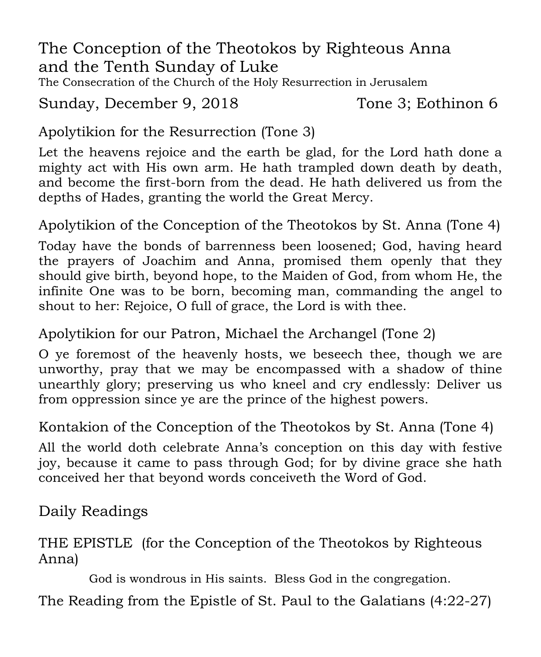The Conception of the Theotokos by Righteous Anna and the Tenth Sunday of Luke

The Consecration of the Church of the Holy Resurrection in Jerusalem

Sunday, December 9, 2018 Tone 3; Eothinon 6

Apolytikion for the Resurrection (Tone 3)

Let the heavens rejoice and the earth be glad, for the Lord hath done a mighty act with His own arm. He hath trampled down death by death, and become the first-born from the dead. He hath delivered us from the depths of Hades, granting the world the Great Mercy.

Apolytikion of the Conception of the Theotokos by St. Anna (Tone 4)

Today have the bonds of barrenness been loosened; God, having heard the prayers of Joachim and Anna, promised them openly that they should give birth, beyond hope, to the Maiden of God, from whom He, the infinite One was to be born, becoming man, commanding the angel to shout to her: Rejoice, O full of grace, the Lord is with thee.

Apolytikion for our Patron, Michael the Archangel (Tone 2)

O ye foremost of the heavenly hosts, we beseech thee, though we are unworthy, pray that we may be encompassed with a shadow of thine unearthly glory; preserving us who kneel and cry endlessly: Deliver us from oppression since ye are the prince of the highest powers.

Kontakion of the Conception of the Theotokos by St. Anna (Tone 4)

All the world doth celebrate Anna's conception on this day with festive joy, because it came to pass through God; for by divine grace she hath conceived her that beyond words conceiveth the Word of God.

Daily Readings

THE EPISTLE (for the Conception of the Theotokos by Righteous Anna)

God is wondrous in His saints. Bless God in the congregation.

The Reading from the Epistle of St. Paul to the Galatians (4:22-27)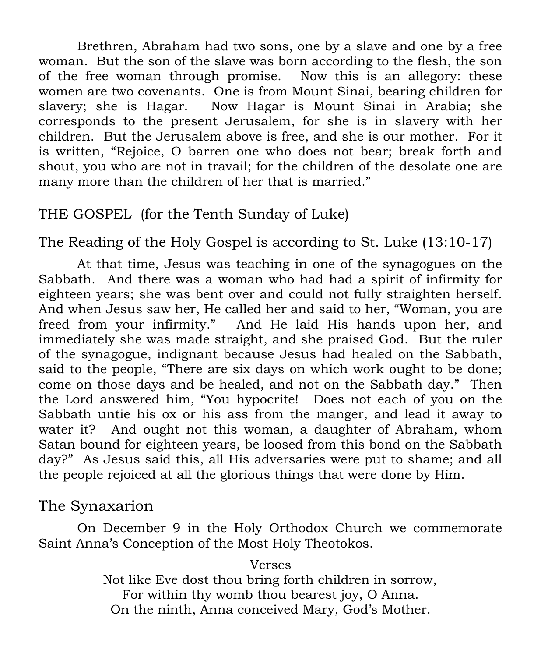Brethren, Abraham had two sons, one by a slave and one by a free woman. But the son of the slave was born according to the flesh, the son of the free woman through promise. Now this is an allegory: these women are two covenants. One is from Mount Sinai, bearing children for slavery; she is Hagar. Now Hagar is Mount Sinai in Arabia; she corresponds to the present Jerusalem, for she is in slavery with her children. But the Jerusalem above is free, and she is our mother. For it is written, "Rejoice, O barren one who does not bear; break forth and shout, you who are not in travail; for the children of the desolate one are many more than the children of her that is married."

## THE GOSPEL (for the Tenth Sunday of Luke)

The Reading of the Holy Gospel is according to St. Luke (13:10-17)

At that time, Jesus was teaching in one of the synagogues on the Sabbath. And there was a woman who had had a spirit of infirmity for eighteen years; she was bent over and could not fully straighten herself. And when Jesus saw her, He called her and said to her, "Woman, you are freed from your infirmity." And He laid His hands upon her, and immediately she was made straight, and she praised God. But the ruler of the synagogue, indignant because Jesus had healed on the Sabbath, said to the people, "There are six days on which work ought to be done; come on those days and be healed, and not on the Sabbath day." Then the Lord answered him, "You hypocrite! Does not each of you on the Sabbath untie his ox or his ass from the manger, and lead it away to water it? And ought not this woman, a daughter of Abraham, whom Satan bound for eighteen years, be loosed from this bond on the Sabbath day?" As Jesus said this, all His adversaries were put to shame; and all the people rejoiced at all the glorious things that were done by Him.

## The Synaxarion

On December 9 in the Holy Orthodox Church we commemorate Saint Anna's Conception of the Most Holy Theotokos.

#### Verses

Not like Eve dost thou bring forth children in sorrow, For within thy womb thou bearest joy, O Anna. On the ninth, Anna conceived Mary, God's Mother.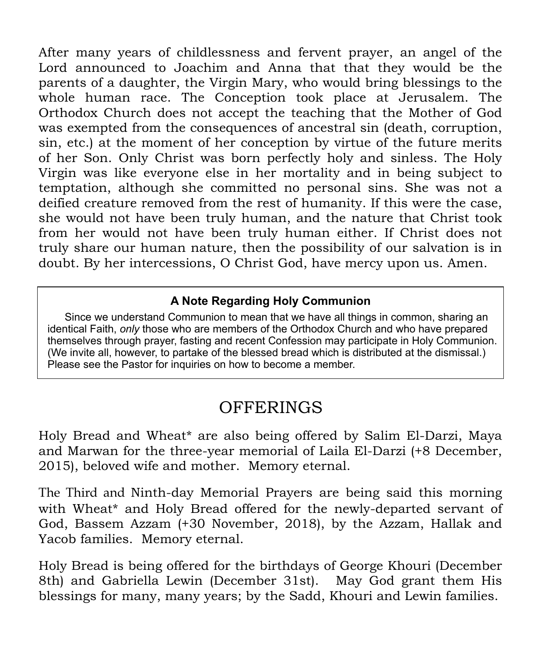After many years of childlessness and fervent prayer, an angel of the Lord announced to Joachim and Anna that that they would be the parents of a daughter, the Virgin Mary, who would bring blessings to the whole human race. The Conception took place at Jerusalem. The Orthodox Church does not accept the teaching that the Mother of God was exempted from the consequences of ancestral sin (death, corruption, sin, etc.) at the moment of her conception by virtue of the future merits of her Son. Only Christ was born perfectly holy and sinless. The Holy Virgin was like everyone else in her mortality and in being subject to temptation, although she committed no personal sins. She was not a deified creature removed from the rest of humanity. If this were the case, she would not have been truly human, and the nature that Christ took from her would not have been truly human either. If Christ does not truly share our human nature, then the possibility of our salvation is in doubt. By her intercessions, O Christ God, have mercy upon us. Amen.

#### **A Note Regarding Holy Communion**

 Since we understand Communion to mean that we have all things in common, sharing an identical Faith, *only* those who are members of the Orthodox Church and who have prepared themselves through prayer, fasting and recent Confession may participate in Holy Communion. (We invite all, however, to partake of the blessed bread which is distributed at the dismissal.) Please see the Pastor for inquiries on how to become a member.

## **OFFERINGS**

Holy Bread and Wheat\* are also being offered by Salim El-Darzi, Maya and Marwan for the three-year memorial of Laila El-Darzi (+8 December, 2015), beloved wife and mother. Memory eternal.

The Third and Ninth-day Memorial Prayers are being said this morning with Wheat\* and Holy Bread offered for the newly-departed servant of God, Bassem Azzam (+30 November, 2018), by the Azzam, Hallak and Yacob families. Memory eternal.

Holy Bread is being offered for the birthdays of George Khouri (December 8th) and Gabriella Lewin (December 31st). May God grant them His blessings for many, many years; by the Sadd, Khouri and Lewin families.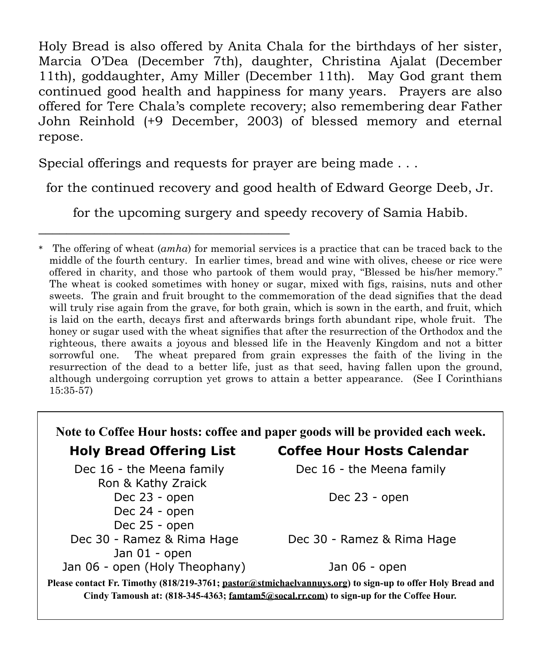Holy Bread is also offered by Anita Chala for the birthdays of her sister, Marcia O'Dea (December 7th), daughter, Christina Ajalat (December 11th), goddaughter, Amy Miller (December 11th). May God grant them continued good health and happiness for many years. Prayers are also offered for Tere Chala's complete recovery; also remembering dear Father John Reinhold (+9 December, 2003) of blessed memory and eternal repose.

Special offerings and requests for prayer are being made . . .

\_\_\_\_\_\_\_\_\_\_\_\_\_\_\_\_\_\_\_\_\_\_\_\_\_\_\_\_\_\_\_\_\_\_\_\_

for the continued recovery and good health of Edward George Deeb, Jr.

for the upcoming surgery and speedy recovery of Samia Habib.

<sup>\*</sup> The offering of wheat (*amha*) for memorial services is a practice that can be traced back to the middle of the fourth century. In earlier times, bread and wine with olives, cheese or rice were offered in charity, and those who partook of them would pray, "Blessed be his/her memory." The wheat is cooked sometimes with honey or sugar, mixed with figs, raisins, nuts and other sweets. The grain and fruit brought to the commemoration of the dead signifies that the dead will truly rise again from the grave, for both grain, which is sown in the earth, and fruit, which is laid on the earth, decays first and afterwards brings forth abundant ripe, whole fruit. The honey or sugar used with the wheat signifies that after the resurrection of the Orthodox and the righteous, there awaits a joyous and blessed life in the Heavenly Kingdom and not a bitter sorrowful one. The wheat prepared from grain expresses the faith of the living in the resurrection of the dead to a better life, just as that seed, having fallen upon the ground, although undergoing corruption yet grows to attain a better appearance. (See I Corinthians 15:35-57)

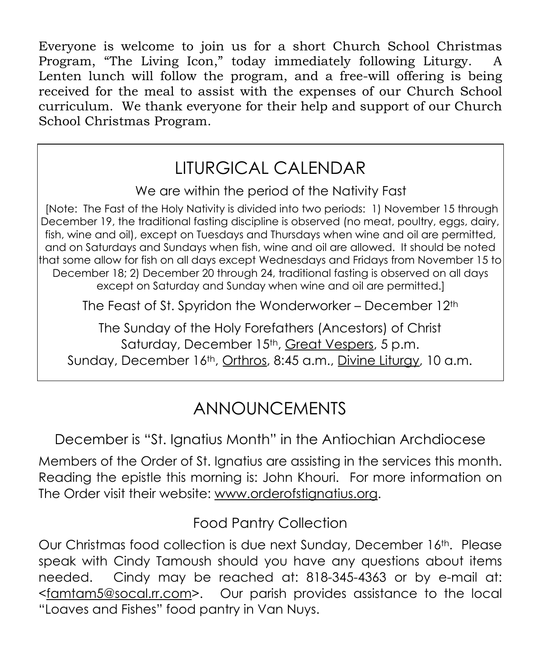Everyone is welcome to join us for a short Church School Christmas Program, "The Living Icon," today immediately following Liturgy. A Lenten lunch will follow the program, and a free-will offering is being received for the meal to assist with the expenses of our Church School curriculum. We thank everyone for their help and support of our Church School Christmas Program.

## LITURGICAL CALENDAR

We are within the period of the Nativity Fast

[Note: The Fast of the Holy Nativity is divided into two periods: 1) November 15 through December 19, the traditional fasting discipline is observed (no meat, poultry, eggs, dairy, fish, wine and oil), except on Tuesdays and Thursdays when wine and oil are permitted, and on Saturdays and Sundays when fish, wine and oil are allowed. It should be noted that some allow for fish on all days except Wednesdays and Fridays from November 15 to December 18; 2) December 20 through 24, traditional fasting is observed on all days except on Saturday and Sunday when wine and oil are permitted.]

The Feast of St. Spyridon the Wonderworker – December 12th

The Sunday of the Holy Forefathers (Ancestors) of Christ Saturday, December 15<sup>th</sup>, Great Vespers, 5 p.m. Sunday, December 16<sup>th</sup>, Orthros, 8:45 a.m., Divine Lituray, 10 a.m.

## ANNOUNCEMENTS

December is "St. Ignatius Month" in the Antiochian Archdiocese

Members of the Order of St. Ignatius are assisting in the services this month. Reading the epistle this morning is: John Khouri. For more information on The Order visit their website: www.orderofstignatius.org.

Food Pantry Collection

Our Christmas food collection is due next Sunday, December 16th. Please speak with Cindy Tamoush should you have any questions about items needed. Cindy may be reached at: 818-345-4363 or by e-mail at: <famtam5@socal.rr.com>. Our parish provides assistance to the local "Loaves and Fishes" food pantry in Van Nuys.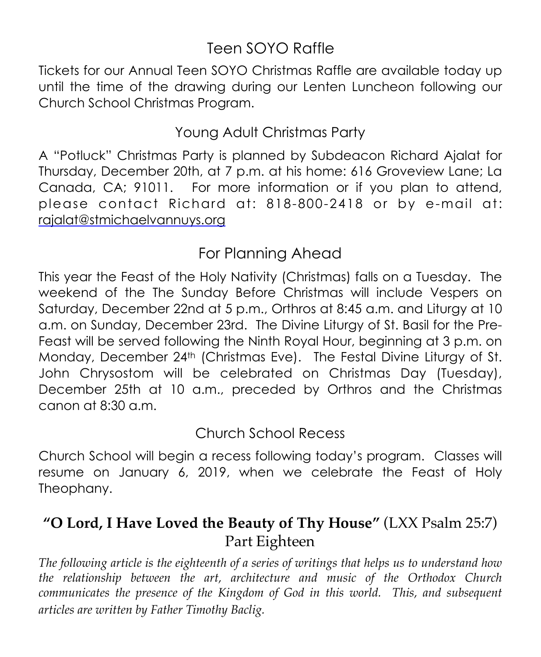## Teen SOYO Raffle

Tickets for our Annual Teen SOYO Christmas Raffle are available today up until the time of the drawing during our Lenten Luncheon following our Church School Christmas Program.

## Young Adult Christmas Party

A "Potluck" Christmas Party is planned by Subdeacon Richard Ajalat for Thursday, December 20th, at 7 p.m. at his home: 616 Groveview Lane; La Canada, CA; 91011. For more information or if you plan to attend, please contact Richard at: 818-800-2418 or by e-mail at: [rajalat@stmichaelvannuys.org](mailto:rajalat@stmichaelvannuys.org)

## For Planning Ahead

This year the Feast of the Holy Nativity (Christmas) falls on a Tuesday. The weekend of the The Sunday Before Christmas will include Vespers on Saturday, December 22nd at 5 p.m., Orthros at 8:45 a.m. and Liturgy at 10 a.m. on Sunday, December 23rd. The Divine Liturgy of St. Basil for the Pre-Feast will be served following the Ninth Royal Hour, beginning at 3 p.m. on Monday, December 24th (Christmas Eve). The Festal Divine Liturgy of St. John Chrysostom will be celebrated on Christmas Day (Tuesday), December 25th at 10 a.m., preceded by Orthros and the Christmas canon at 8:30 a.m.

Church School Recess

Church School will begin a recess following today's program. Classes will resume on January 6, 2019, when we celebrate the Feast of Holy Theophany.

## **"O Lord, I Have Loved the Beauty of Thy House"** (LXX Psalm 25:7) Part Eighteen

*The following article is the eighteenth of a series of writings that helps us to understand how the relationship between the art, architecture and music of the Orthodox Church communicates the presence of the Kingdom of God in this world. This, and subsequent articles are written by Father Timothy Baclig.*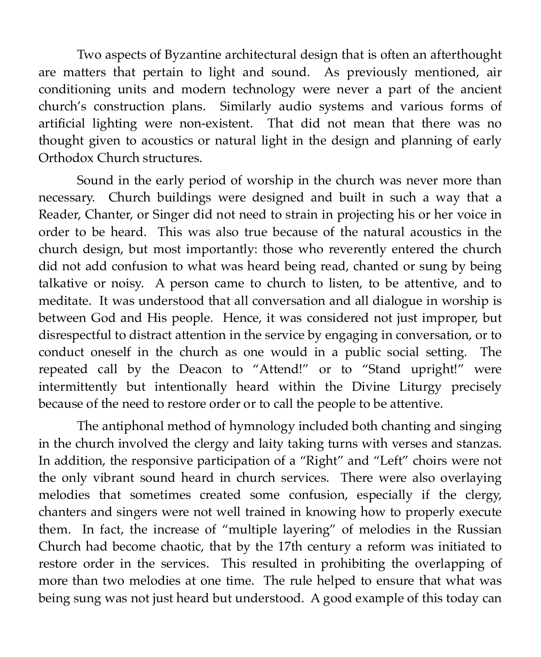Two aspects of Byzantine architectural design that is often an afterthought are matters that pertain to light and sound. As previously mentioned, air conditioning units and modern technology were never a part of the ancient church's construction plans. Similarly audio systems and various forms of artificial lighting were non-existent. That did not mean that there was no thought given to acoustics or natural light in the design and planning of early Orthodox Church structures.

Sound in the early period of worship in the church was never more than necessary. Church buildings were designed and built in such a way that a Reader, Chanter, or Singer did not need to strain in projecting his or her voice in order to be heard. This was also true because of the natural acoustics in the church design, but most importantly: those who reverently entered the church did not add confusion to what was heard being read, chanted or sung by being talkative or noisy. A person came to church to listen, to be attentive, and to meditate. It was understood that all conversation and all dialogue in worship is between God and His people. Hence, it was considered not just improper, but disrespectful to distract attention in the service by engaging in conversation, or to conduct oneself in the church as one would in a public social setting. The repeated call by the Deacon to "Attend!" or to "Stand upright!" were intermittently but intentionally heard within the Divine Liturgy precisely because of the need to restore order or to call the people to be attentive.

The antiphonal method of hymnology included both chanting and singing in the church involved the clergy and laity taking turns with verses and stanzas. In addition, the responsive participation of a "Right" and "Left" choirs were not the only vibrant sound heard in church services. There were also overlaying melodies that sometimes created some confusion, especially if the clergy, chanters and singers were not well trained in knowing how to properly execute them. In fact, the increase of "multiple layering" of melodies in the Russian Church had become chaotic, that by the 17th century a reform was initiated to restore order in the services. This resulted in prohibiting the overlapping of more than two melodies at one time. The rule helped to ensure that what was being sung was not just heard but understood. A good example of this today can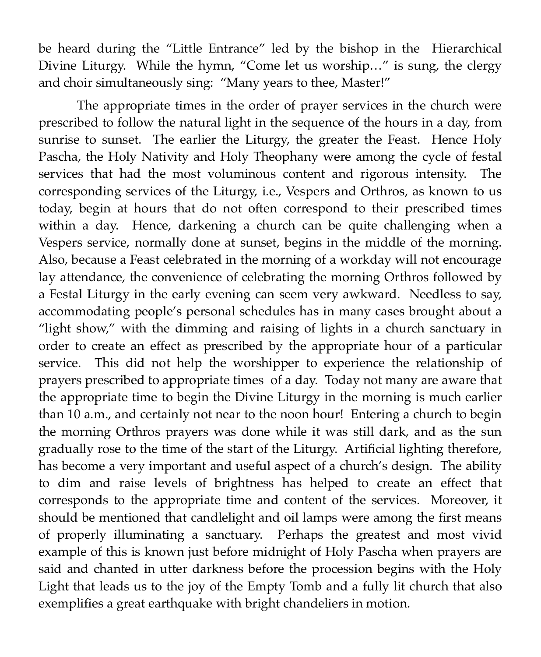be heard during the "Little Entrance" led by the bishop in the Hierarchical Divine Liturgy. While the hymn, "Come let us worship…" is sung, the clergy and choir simultaneously sing: "Many years to thee, Master!"

The appropriate times in the order of prayer services in the church were prescribed to follow the natural light in the sequence of the hours in a day, from sunrise to sunset. The earlier the Liturgy, the greater the Feast. Hence Holy Pascha, the Holy Nativity and Holy Theophany were among the cycle of festal services that had the most voluminous content and rigorous intensity. The corresponding services of the Liturgy, i.e., Vespers and Orthros, as known to us today, begin at hours that do not often correspond to their prescribed times within a day. Hence, darkening a church can be quite challenging when a Vespers service, normally done at sunset, begins in the middle of the morning. Also, because a Feast celebrated in the morning of a workday will not encourage lay attendance, the convenience of celebrating the morning Orthros followed by a Festal Liturgy in the early evening can seem very awkward. Needless to say, accommodating people's personal schedules has in many cases brought about a "light show," with the dimming and raising of lights in a church sanctuary in order to create an effect as prescribed by the appropriate hour of a particular service. This did not help the worshipper to experience the relationship of prayers prescribed to appropriate times of a day. Today not many are aware that the appropriate time to begin the Divine Liturgy in the morning is much earlier than 10 a.m., and certainly not near to the noon hour! Entering a church to begin the morning Orthros prayers was done while it was still dark, and as the sun gradually rose to the time of the start of the Liturgy. Artificial lighting therefore, has become a very important and useful aspect of a church's design. The ability to dim and raise levels of brightness has helped to create an effect that corresponds to the appropriate time and content of the services. Moreover, it should be mentioned that candlelight and oil lamps were among the first means of properly illuminating a sanctuary. Perhaps the greatest and most vivid example of this is known just before midnight of Holy Pascha when prayers are said and chanted in utter darkness before the procession begins with the Holy Light that leads us to the joy of the Empty Tomb and a fully lit church that also exemplifies a great earthquake with bright chandeliers in motion.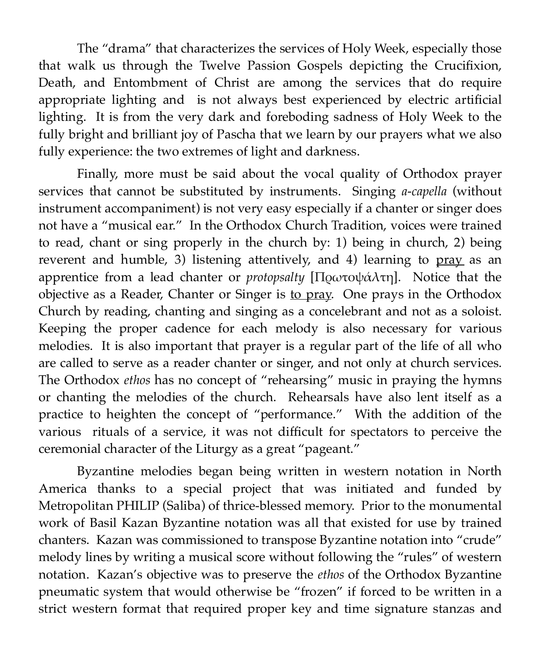The "drama" that characterizes the services of Holy Week, especially those that walk us through the Twelve Passion Gospels depicting the Crucifixion, Death, and Entombment of Christ are among the services that do require appropriate lighting and is not always best experienced by electric artificial lighting. It is from the very dark and foreboding sadness of Holy Week to the fully bright and brilliant joy of Pascha that we learn by our prayers what we also fully experience: the two extremes of light and darkness.

Finally, more must be said about the vocal quality of Orthodox prayer services that cannot be substituted by instruments. Singing *a-capella* (without instrument accompaniment) is not very easy especially if a chanter or singer does not have a "musical ear." In the Orthodox Church Tradition, voices were trained to read, chant or sing properly in the church by: 1) being in church, 2) being reverent and humble, 3) listening attentively, and 4) learning to pray as an apprentice from a lead chanter or *protopsalty* [Πρωτοψάλτη]. Notice that the objective as a Reader, Chanter or Singer is to pray. One prays in the Orthodox Church by reading, chanting and singing as a concelebrant and not as a soloist. Keeping the proper cadence for each melody is also necessary for various melodies. It is also important that prayer is a regular part of the life of all who are called to serve as a reader chanter or singer, and not only at church services. The Orthodox *ethos* has no concept of "rehearsing" music in praying the hymns or chanting the melodies of the church. Rehearsals have also lent itself as a practice to heighten the concept of "performance." With the addition of the various rituals of a service, it was not difficult for spectators to perceive the ceremonial character of the Liturgy as a great "pageant."

Byzantine melodies began being written in western notation in North America thanks to a special project that was initiated and funded by Metropolitan PHILIP (Saliba) of thrice-blessed memory. Prior to the monumental work of Basil Kazan Byzantine notation was all that existed for use by trained chanters. Kazan was commissioned to transpose Byzantine notation into "crude" melody lines by writing a musical score without following the "rules" of western notation. Kazan's objective was to preserve the *ethos* of the Orthodox Byzantine pneumatic system that would otherwise be "frozen" if forced to be written in a strict western format that required proper key and time signature stanzas and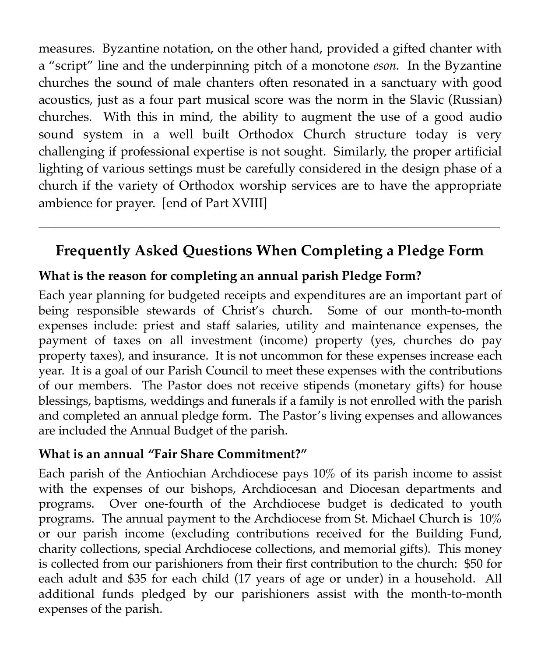measures. Byzantine notation, on the other hand, provided a gifted chanter with a "script" line and the underpinning pitch of a monotone *eson*. In the Byzantine churches the sound of male chanters often resonated in a sanctuary with good acoustics, just as a four part musical score was the norm in the Slavic (Russian) churches. With this in mind, the ability to augment the use of a good audio sound system in a well built Orthodox Church structure today is very challenging if professional expertise is not sought. Similarly, the proper artificial lighting of various settings must be carefully considered in the design phase of a church if the variety of Orthodox worship services are to have the appropriate ambience for prayer. [end of Part XVIII]

## **Frequently Asked Questions When Completing a Pledge Form**

\_\_\_\_\_\_\_\_\_\_\_\_\_\_\_\_\_\_\_\_\_\_\_\_\_\_\_\_\_\_\_\_\_\_\_\_\_\_\_\_\_\_\_\_\_\_\_\_\_\_\_\_\_\_\_\_\_\_\_\_\_\_\_\_\_\_\_\_\_\_\_\_\_\_\_\_\_\_\_\_\_\_\_\_\_\_

#### **What is the reason for completing an annual parish Pledge Form?**

Each year planning for budgeted receipts and expenditures are an important part of being responsible stewards of Christ's church. Some of our month-to-month expenses include: priest and staff salaries, utility and maintenance expenses, the payment of taxes on all investment (income) property (yes, churches do pay property taxes), and insurance. It is not uncommon for these expenses increase each year. It is a goal of our Parish Council to meet these expenses with the contributions of our members. The Pastor does not receive stipends (monetary gifts) for house blessings, baptisms, weddings and funerals if a family is not enrolled with the parish and completed an annual pledge form. The Pastor's living expenses and allowances are included the Annual Budget of the parish.

#### **What is an annual "Fair Share Commitment?"**

Each parish of the Antiochian Archdiocese pays 10% of its parish income to assist with the expenses of our bishops, Archdiocesan and Diocesan departments and programs. Over one-fourth of the Archdiocese budget is dedicated to youth programs. The annual payment to the Archdiocese from St. Michael Church is 10% or our parish income (excluding contributions received for the Building Fund, charity collections, special Archdiocese collections, and memorial gifts). This money is collected from our parishioners from their first contribution to the church: \$50 for each adult and \$35 for each child (17 years of age or under) in a household. All additional funds pledged by our parishioners assist with the month-to-month expenses of the parish.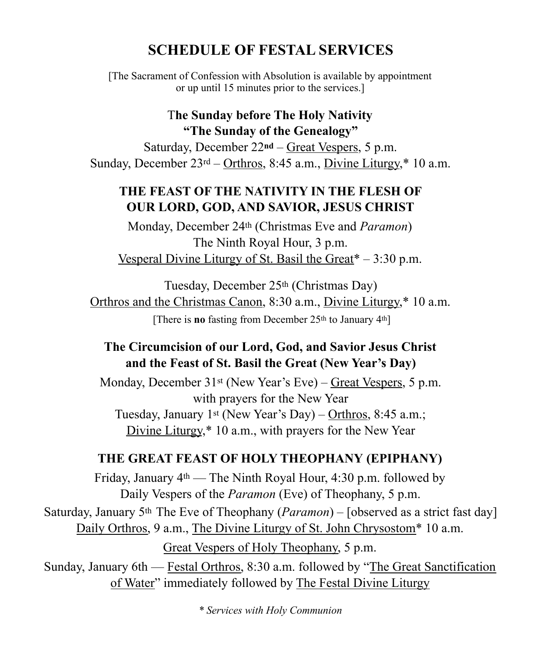## **SCHEDULE OF FESTAL SERVICES**

[The Sacrament of Confession with Absolution is available by appointment or up until 15 minutes prior to the services.]

#### T**he Sunday before The Holy Nativity "The Sunday of the Genealogy"**

Saturday, December 22**nd** – Great Vespers, 5 p.m. Sunday, December  $23<sup>rd</sup> - Orthros, 8:45 a.m., Divine Liturgy<sup>*</sup>, 10 a.m.$ 

#### **THE FEAST OF THE NATIVITY IN THE FLESH OF OUR LORD, GOD, AND SAVIOR, JESUS CHRIST**

Monday, December 24th (Christmas Eve and *Paramon*) The Ninth Royal Hour, 3 p.m. Vesperal Divine Liturgy of St. Basil the Great $* - 3:30$  p.m.

Tuesday, December 25th (Christmas Day) Orthros and the Christmas Canon, 8:30 a.m., Divine Liturgy,\* 10 a.m. [There is **no** fasting from December 25<sup>th</sup> to January 4<sup>th</sup>]

#### **The Circumcision of our Lord, God, and Savior Jesus Christ and the Feast of St. Basil the Great (New Year's Day)**

Monday, December 31st (New Year's Eve) – Great Vespers, 5 p.m. with prayers for the New Year Tuesday, January 1st (New Year's Day) – Orthros, 8:45 a.m.; Divine Liturgy,\* 10 a.m., with prayers for the New Year

#### **THE GREAT FEAST OF HOLY THEOPHANY (EPIPHANY)**

Friday, January 4th — The Ninth Royal Hour, 4:30 p.m. followed by Daily Vespers of the *Paramon* (Eve) of Theophany, 5 p.m. Saturday, January 5th The Eve of Theophany (*Paramon*) – [observed as a strict fast day] Daily Orthros, 9 a.m., The Divine Liturgy of St. John Chrysostom\* 10 a.m. Great Vespers of Holy Theophany, 5 p.m.

Sunday, January 6th — Festal Orthros, 8:30 a.m. followed by "The Great Sanctification of Water" immediately followed by The Festal Divine Liturgy

*\* Services with Holy Communion*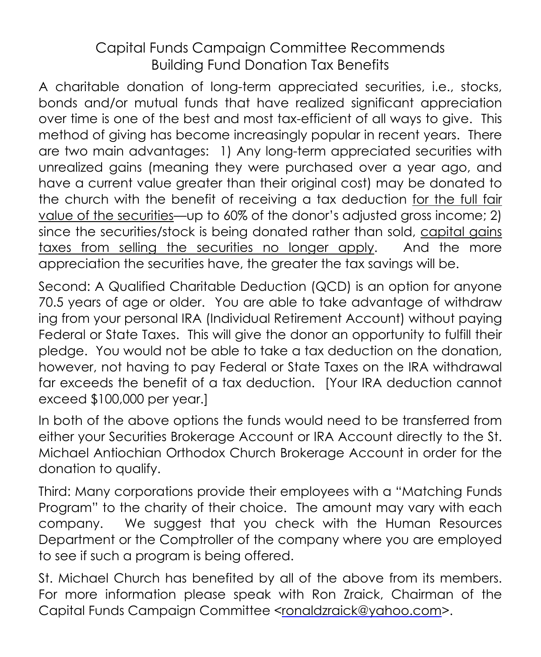## Capital Funds Campaign Committee Recommends Building Fund Donation Tax Benefits

A charitable donation of long-term appreciated securities, i.e., stocks, bonds and/or mutual funds that have realized significant appreciation over time is one of the best and most tax-efficient of all ways to give. This method of giving has become increasingly popular in recent years. There are two main advantages: 1) Any long-term appreciated securities with unrealized gains (meaning they were purchased over a year ago, and have a current value greater than their original cost) may be donated to the church with the benefit of receiving a tax deduction for the full fair value of the securities—up to 60% of the donor's adjusted gross income; 2) since the securities/stock is being donated rather than sold, capital gains taxes from selling the securities no longer apply. And the more appreciation the securities have, the greater the tax savings will be.

Second: A Qualified Charitable Deduction (QCD) is an option for anyone 70.5 years of age or older. You are able to take advantage of withdraw ing from your personal IRA (Individual Retirement Account) without paying Federal or State Taxes. This will give the donor an opportunity to fulfill their pledge. You would not be able to take a tax deduction on the donation, however, not having to pay Federal or State Taxes on the IRA withdrawal far exceeds the benefit of a tax deduction. [Your IRA deduction cannot exceed \$100,000 per year.]

In both of the above options the funds would need to be transferred from either your Securities Brokerage Account or IRA Account directly to the St. Michael Antiochian Orthodox Church Brokerage Account in order for the donation to qualify.

Third: Many corporations provide their employees with a "Matching Funds Program" to the charity of their choice. The amount may vary with each company. We suggest that you check with the Human Resources Department or the Comptroller of the company where you are employed to see if such a program is being offered.

St. Michael Church has benefited by all of the above from its members. For more information please speak with Ron Zraick, Chairman of the Capital Funds Campaign Committee <[ronaldzraick@yahoo.com>](mailto:ronaldzraick@yahoo.com).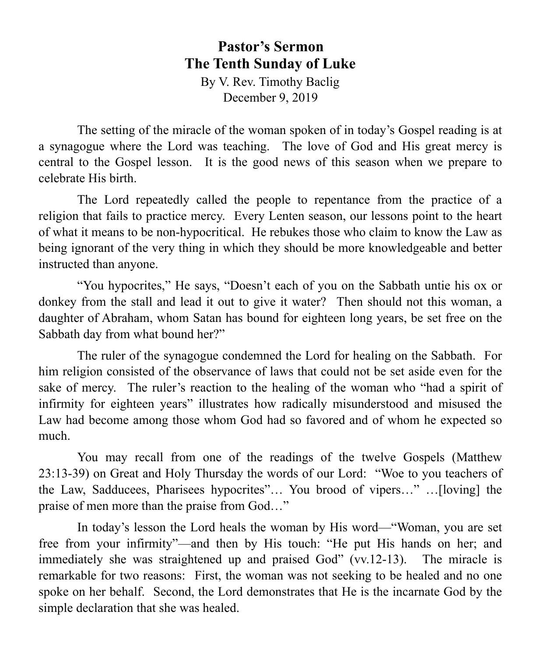## **Pastor's Sermon The Tenth Sunday of Luke**

By V. Rev. Timothy Baclig December 9, 2019

The setting of the miracle of the woman spoken of in today's Gospel reading is at a synagogue where the Lord was teaching. The love of God and His great mercy is central to the Gospel lesson. It is the good news of this season when we prepare to celebrate His birth.

The Lord repeatedly called the people to repentance from the practice of a religion that fails to practice mercy. Every Lenten season, our lessons point to the heart of what it means to be non-hypocritical. He rebukes those who claim to know the Law as being ignorant of the very thing in which they should be more knowledgeable and better instructed than anyone.

"You hypocrites," He says, "Doesn't each of you on the Sabbath untie his ox or donkey from the stall and lead it out to give it water? Then should not this woman, a daughter of Abraham, whom Satan has bound for eighteen long years, be set free on the Sabbath day from what bound her?"

The ruler of the synagogue condemned the Lord for healing on the Sabbath. For him religion consisted of the observance of laws that could not be set aside even for the sake of mercy. The ruler's reaction to the healing of the woman who "had a spirit of infirmity for eighteen years" illustrates how radically misunderstood and misused the Law had become among those whom God had so favored and of whom he expected so much.

You may recall from one of the readings of the twelve Gospels (Matthew 23:13-39) on Great and Holy Thursday the words of our Lord: "Woe to you teachers of the Law, Sadducees, Pharisees hypocrites"… You brood of vipers…" …[loving] the praise of men more than the praise from God…"

 In today's lesson the Lord heals the woman by His word—"Woman, you are set free from your infirmity"—and then by His touch: "He put His hands on her; and immediately she was straightened up and praised God" (vv.12-13). The miracle is remarkable for two reasons: First, the woman was not seeking to be healed and no one spoke on her behalf. Second, the Lord demonstrates that He is the incarnate God by the simple declaration that she was healed.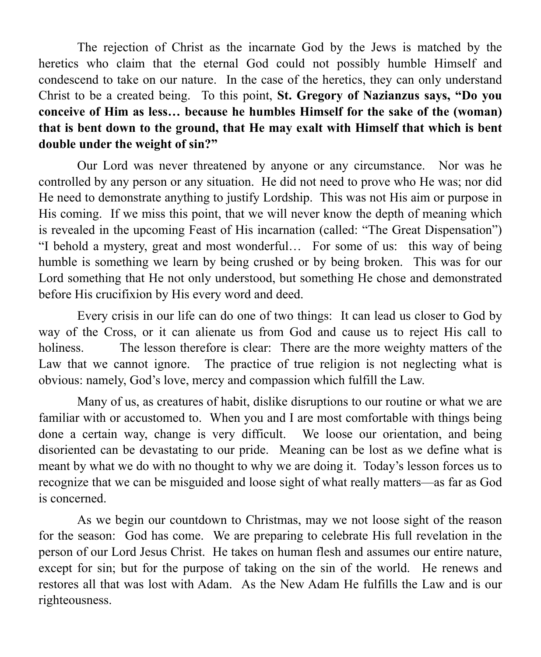The rejection of Christ as the incarnate God by the Jews is matched by the heretics who claim that the eternal God could not possibly humble Himself and condescend to take on our nature. In the case of the heretics, they can only understand Christ to be a created being. To this point, **St. Gregory of Nazianzus says, "Do you conceive of Him as less… because he humbles Himself for the sake of the (woman) that is bent down to the ground, that He may exalt with Himself that which is bent double under the weight of sin?"** 

Our Lord was never threatened by anyone or any circumstance. Nor was he controlled by any person or any situation. He did not need to prove who He was; nor did He need to demonstrate anything to justify Lordship. This was not His aim or purpose in His coming. If we miss this point, that we will never know the depth of meaning which is revealed in the upcoming Feast of His incarnation (called: "The Great Dispensation") "I behold a mystery, great and most wonderful… For some of us: this way of being humble is something we learn by being crushed or by being broken. This was for our Lord something that He not only understood, but something He chose and demonstrated before His crucifixion by His every word and deed.

 Every crisis in our life can do one of two things: It can lead us closer to God by way of the Cross, or it can alienate us from God and cause us to reject His call to holiness. The lesson therefore is clear: There are the more weighty matters of the Law that we cannot ignore. The practice of true religion is not neglecting what is obvious: namely, God's love, mercy and compassion which fulfill the Law.

 Many of us, as creatures of habit, dislike disruptions to our routine or what we are familiar with or accustomed to. When you and I are most comfortable with things being done a certain way, change is very difficult. We loose our orientation, and being disoriented can be devastating to our pride. Meaning can be lost as we define what is meant by what we do with no thought to why we are doing it. Today's lesson forces us to recognize that we can be misguided and loose sight of what really matters—as far as God is concerned.

 As we begin our countdown to Christmas, may we not loose sight of the reason for the season: God has come. We are preparing to celebrate His full revelation in the person of our Lord Jesus Christ. He takes on human flesh and assumes our entire nature, except for sin; but for the purpose of taking on the sin of the world. He renews and restores all that was lost with Adam. As the New Adam He fulfills the Law and is our righteousness.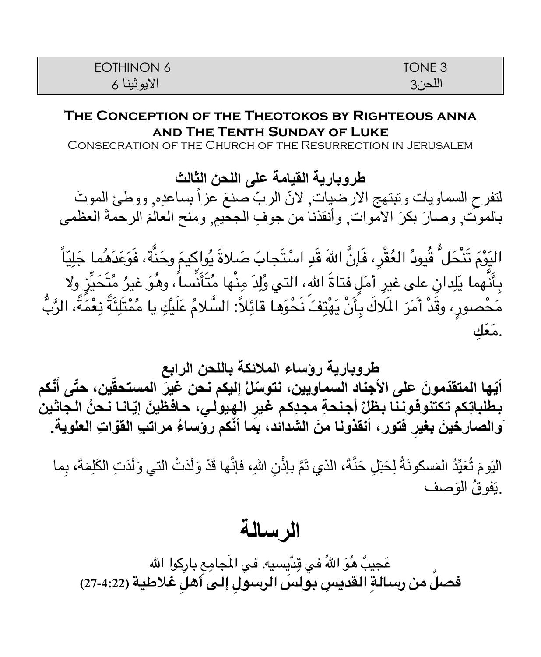| EOTHINON 6  | TONE <sub>3</sub> |
|-------------|-------------------|
| الايونينا 6 | اللحن3            |

#### **The Conception of the Theotokos by Righteous anna and The Tenth Sunday of Luke**

Consecration of the Church of the Resurrection in Jerusalem

**طروباریة القیامة على اللحن الثالث** لتفرح السماويات وتبتهج الارضيات ٍ لانّ الربّ صنعَ عزاً بساعدِه ٍ ووطئ الموتَ<br>'' بالموتٌ, وصـارَ بكرَ الاموات, وأنقذنا من جوفِ الجحييم, ومنح العالمَ الرحمةَ العظمى

ً اليَوْمَ تَنْحَلَّ قُيودُ العُقْرِ، فَإِنَّ اللهَ قَدِ اسْتَجابَ صَلاةَ يُواكِيمَ وحَنَّة، فَوَعَدَهُما جَلِيّاً َ َ بِأَنَّهما يَلِدانِ على غيرِ أمَلٍ فتاةَ اللهِ، التي وُلِدَ مِنْها مُتَأَنِّساً، وهُوَ غيرُ مُتَحَيِّزٍ ولا ∫<br>∫ َ مَحْصورٍ، وقَدْ أَمَرَ المَلاكَ بِأَنْ يَهْتِفَ نَحْوَها قائِلاً: السَّلامُ عَلَيْكِ يا مُمْتَلِئَةً نِعْمَةً، الرَّبُّ ِ**∶** .مَعَك

**طروباریة رؤساء الملائكة باللحن الرابع**

أيّها المتقدّمونَ على الأجنادِ السماويين، نتوسّلُ إليكم نـحن عَينَ المستحقّين، حتّى أنّكم بطلباتِكم تكتنوفوننا بظلِّ أجنحةِ مجدِكم غيرِ الهِيولي، حافظينَ إيّانـا نـحنُ الـجاثين **ِ فتور، أنقذونا َمن الشدائد، بما أّنكم رؤسا ُء مرات ِب القّوا ِت العلویة. َوالصارخ َین بغیر**

الْيَومَ تُعَيِّدُ المَسكونَةُ لِحَبَلِ حَنَّةَ، الذي تَمَّ بإذْنِ اللهِ، فإنَّها قَدْ وَلَدَتْ التي وَلَدَتِ الكَلِمَةَ، بِما **ٔ** .يَفوقُ الوَصف

# **الرسالة**

عَجيبٌ هُوَ اللهُ في قِدّيسيه. في المَجامِع بارِكوا الله ِ**فصٌل من رسال ِة القدي ِس بول َس الرسو ِل إلى أه ِل غلطية (27-4:22)**